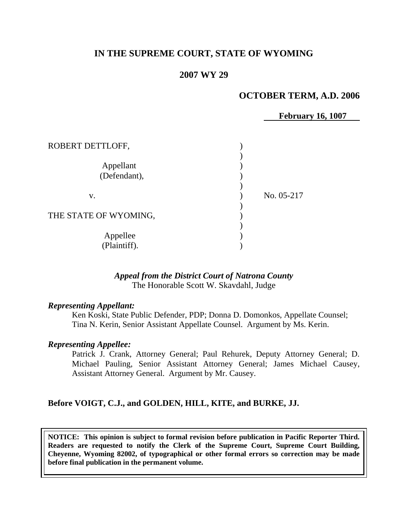## **IN THE SUPREME COURT, STATE OF WYOMING**

### **2007 WY 29**

#### **OCTOBER TERM, A.D. 2006**

 **February 16, 1007**

| ROBERT DETTLOFF,          |            |
|---------------------------|------------|
| Appellant<br>(Defendant), |            |
| V.                        | No. 05-217 |
| THE STATE OF WYOMING,     |            |
| Appellee<br>(Plaintiff).  |            |

#### *Appeal from the District Court of Natrona County* The Honorable Scott W. Skavdahl, Judge

#### *Representing Appellant:*

Ken Koski, State Public Defender, PDP; Donna D. Domonkos, Appellate Counsel; Tina N. Kerin, Senior Assistant Appellate Counsel. Argument by Ms. Kerin.

#### *Representing Appellee:*

Patrick J. Crank, Attorney General; Paul Rehurek, Deputy Attorney General; D. Michael Pauling, Senior Assistant Attorney General; James Michael Causey, Assistant Attorney General. Argument by Mr. Causey.

#### **Before VOIGT, C.J., and GOLDEN, HILL, KITE, and BURKE, JJ.**

**NOTICE: This opinion is subject to formal revision before publication in Pacific Reporter Third. Readers are requested to notify the Clerk of the Supreme Court, Supreme Court Building, Cheyenne, Wyoming 82002, of typographical or other formal errors so correction may be made before final publication in the permanent volume.**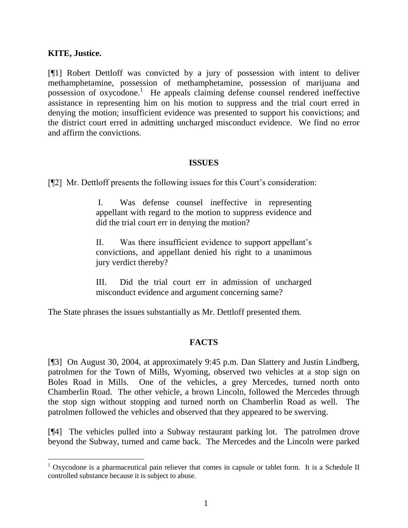#### **KITE, Justice.**

l

[¶1] Robert Dettloff was convicted by a jury of possession with intent to deliver methamphetamine, possession of methamphetamine, possession of marijuana and possession of oxycodone.<sup>1</sup> He appeals claiming defense counsel rendered ineffective assistance in representing him on his motion to suppress and the trial court erred in denying the motion; insufficient evidence was presented to support his convictions; and the district court erred in admitting uncharged misconduct evidence. We find no error and affirm the convictions.

#### **ISSUES**

[¶2] Mr. Dettloff presents the following issues for this Court's consideration:

I. Was defense counsel ineffective in representing appellant with regard to the motion to suppress evidence and did the trial court err in denying the motion?

II. Was there insufficient evidence to support appellant's convictions, and appellant denied his right to a unanimous jury verdict thereby?

III. Did the trial court err in admission of uncharged misconduct evidence and argument concerning same?

The State phrases the issues substantially as Mr. Dettloff presented them.

# **FACTS**

[¶3] On August 30, 2004, at approximately 9:45 p.m. Dan Slattery and Justin Lindberg, patrolmen for the Town of Mills, Wyoming, observed two vehicles at a stop sign on Boles Road in Mills. One of the vehicles, a grey Mercedes, turned north onto Chamberlin Road. The other vehicle, a brown Lincoln, followed the Mercedes through the stop sign without stopping and turned north on Chamberlin Road as well. The patrolmen followed the vehicles and observed that they appeared to be swerving.

[¶4] The vehicles pulled into a Subway restaurant parking lot. The patrolmen drove beyond the Subway, turned and came back. The Mercedes and the Lincoln were parked

 $1$  Oxycodone is a pharmaceutical pain reliever that comes in capsule or tablet form. It is a Schedule II controlled substance because it is subject to abuse.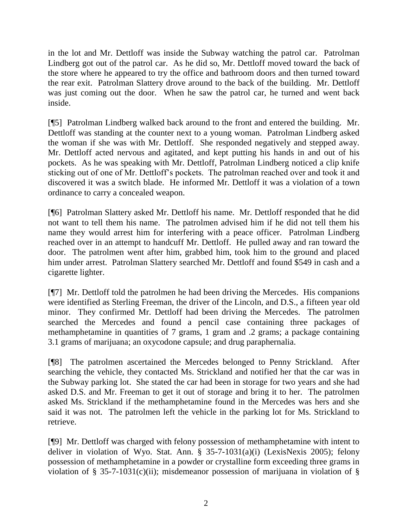in the lot and Mr. Dettloff was inside the Subway watching the patrol car. Patrolman Lindberg got out of the patrol car. As he did so, Mr. Dettloff moved toward the back of the store where he appeared to try the office and bathroom doors and then turned toward the rear exit. Patrolman Slattery drove around to the back of the building. Mr. Dettloff was just coming out the door. When he saw the patrol car, he turned and went back inside.

[¶5] Patrolman Lindberg walked back around to the front and entered the building. Mr. Dettloff was standing at the counter next to a young woman. Patrolman Lindberg asked the woman if she was with Mr. Dettloff. She responded negatively and stepped away. Mr. Dettloff acted nervous and agitated, and kept putting his hands in and out of his pockets. As he was speaking with Mr. Dettloff, Patrolman Lindberg noticed a clip knife sticking out of one of Mr. Dettloff's pockets. The patrolman reached over and took it and discovered it was a switch blade. He informed Mr. Dettloff it was a violation of a town ordinance to carry a concealed weapon.

[¶6] Patrolman Slattery asked Mr. Dettloff his name. Mr. Dettloff responded that he did not want to tell them his name. The patrolmen advised him if he did not tell them his name they would arrest him for interfering with a peace officer. Patrolman Lindberg reached over in an attempt to handcuff Mr. Dettloff. He pulled away and ran toward the door. The patrolmen went after him, grabbed him, took him to the ground and placed him under arrest. Patrolman Slattery searched Mr. Dettloff and found \$549 in cash and a cigarette lighter.

[¶7] Mr. Dettloff told the patrolmen he had been driving the Mercedes. His companions were identified as Sterling Freeman, the driver of the Lincoln, and D.S., a fifteen year old minor. They confirmed Mr. Dettloff had been driving the Mercedes. The patrolmen searched the Mercedes and found a pencil case containing three packages of methamphetamine in quantities of 7 grams, 1 gram and .2 grams; a package containing 3.1 grams of marijuana; an oxycodone capsule; and drug paraphernalia.

[¶8] The patrolmen ascertained the Mercedes belonged to Penny Strickland. After searching the vehicle, they contacted Ms. Strickland and notified her that the car was in the Subway parking lot. She stated the car had been in storage for two years and she had asked D.S. and Mr. Freeman to get it out of storage and bring it to her. The patrolmen asked Ms. Strickland if the methamphetamine found in the Mercedes was hers and she said it was not. The patrolmen left the vehicle in the parking lot for Ms. Strickland to retrieve.

[¶9] Mr. Dettloff was charged with felony possession of methamphetamine with intent to deliver in violation of Wyo. Stat. Ann. § 35-7-1031(a)(i) (LexisNexis 2005); felony possession of methamphetamine in a powder or crystalline form exceeding three grams in violation of § 35-7-1031(c)(ii); misdemeanor possession of marijuana in violation of §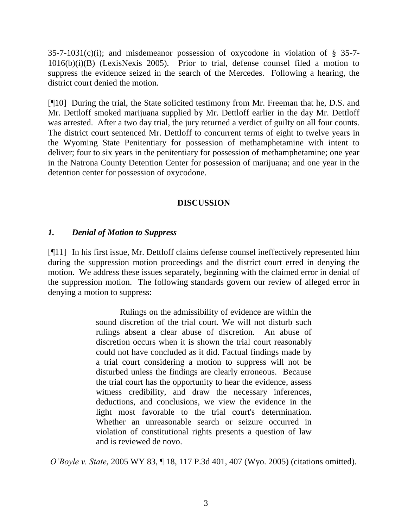35-7-1031(c)(i); and misdemeanor possession of oxycodone in violation of § 35-7- 1016(b)(i)(B) (LexisNexis 2005). Prior to trial, defense counsel filed a motion to suppress the evidence seized in the search of the Mercedes. Following a hearing, the district court denied the motion.

[¶10] During the trial, the State solicited testimony from Mr. Freeman that he, D.S. and Mr. Dettloff smoked marijuana supplied by Mr. Dettloff earlier in the day Mr. Dettloff was arrested. After a two day trial, the jury returned a verdict of guilty on all four counts. The district court sentenced Mr. Dettloff to concurrent terms of eight to twelve years in the Wyoming State Penitentiary for possession of methamphetamine with intent to deliver; four to six years in the penitentiary for possession of methamphetamine; one year in the Natrona County Detention Center for possession of marijuana; and one year in the detention center for possession of oxycodone.

## **DISCUSSION**

#### *1. Denial of Motion to Suppress*

[¶11] In his first issue, Mr. Dettloff claims defense counsel ineffectively represented him during the suppression motion proceedings and the district court erred in denying the motion. We address these issues separately, beginning with the claimed error in denial of the suppression motion. The following standards govern our review of alleged error in denying a motion to suppress:

> Rulings on the admissibility of evidence are within the sound discretion of the trial court. We will not disturb such rulings absent a clear abuse of discretion. An abuse of discretion occurs when it is shown the trial court reasonably could not have concluded as it did. Factual findings made by a trial court considering a motion to suppress will not be disturbed unless the findings are clearly erroneous. Because the trial court has the opportunity to hear the evidence, assess witness credibility, and draw the necessary inferences, deductions, and conclusions, we view the evidence in the light most favorable to the trial court's determination. Whether an unreasonable search or seizure occurred in violation of constitutional rights presents a question of law and is reviewed de novo.

*O'Boyle v. State*, 2005 WY 83, ¶ 18, 117 P.3d 401, 407 (Wyo. 2005) (citations omitted).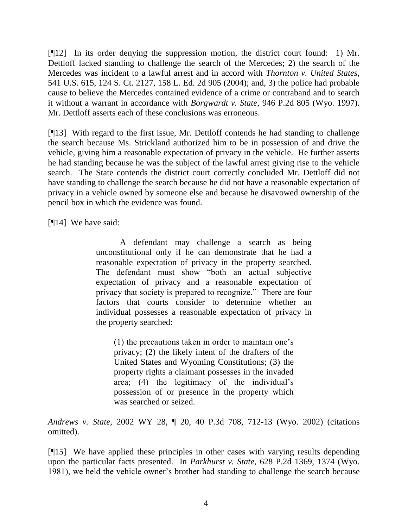[¶12] In its order denying the suppression motion, the district court found: 1) Mr. Dettloff lacked standing to challenge the search of the Mercedes; 2) the search of the Mercedes was incident to a lawful arrest and in accord with *Thornton v. United States*, 541 U.S. 615, 124 S. Ct. 2127, 158 L. Ed. 2d 905 (2004); and, 3) the police had probable cause to believe the Mercedes contained evidence of a crime or contraband and to search it without a warrant in accordance with *Borgwardt v. State*, 946 P.2d 805 (Wyo. 1997). Mr. Dettloff asserts each of these conclusions was erroneous.

[¶13] With regard to the first issue, Mr. Dettloff contends he had standing to challenge the search because Ms. Strickland authorized him to be in possession of and drive the vehicle, giving him a reasonable expectation of privacy in the vehicle. He further asserts he had standing because he was the subject of the lawful arrest giving rise to the vehicle search. The State contends the district court correctly concluded Mr. Dettloff did not have standing to challenge the search because he did not have a reasonable expectation of privacy in a vehicle owned by someone else and because he disavowed ownership of the pencil box in which the evidence was found.

[¶14] We have said:

A defendant may challenge a search as being unconstitutional only if he can demonstrate that he had a reasonable expectation of privacy in the property searched. The defendant must show "both an actual subjective expectation of privacy and a reasonable expectation of privacy that society is prepared to recognize." There are four factors that courts consider to determine whether an individual possesses a reasonable expectation of privacy in the property searched:

(1) the precautions taken in order to maintain one's privacy; (2) the likely intent of the drafters of the United States and Wyoming Constitutions; (3) the property rights a claimant possesses in the invaded area; (4) the legitimacy of the individual's possession of or presence in the property which was searched or seized.

*Andrews v. State*, 2002 WY 28, ¶ 20, 40 P.3d 708, 712-13 (Wyo. 2002) (citations omitted).

[¶15] We have applied these principles in other cases with varying results depending upon the particular facts presented. In *Parkhurst v. State*, 628 P.2d 1369, 1374 (Wyo. 1981), we held the vehicle owner's brother had standing to challenge the search because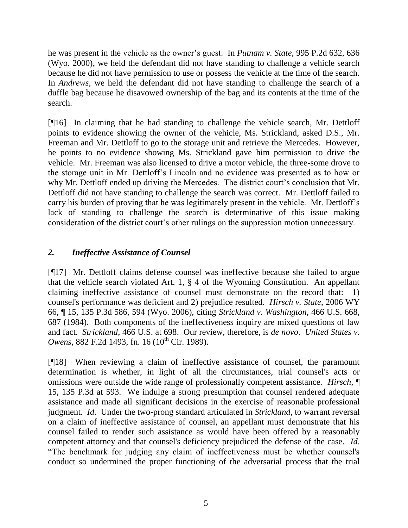he was present in the vehicle as the owner's guest. In *Putnam v. State*, 995 P.2d 632, 636 (Wyo. 2000), we held the defendant did not have standing to challenge a vehicle search because he did not have permission to use or possess the vehicle at the time of the search. In *Andrews*, we held the defendant did not have standing to challenge the search of a duffle bag because he disavowed ownership of the bag and its contents at the time of the search.

[¶16] In claiming that he had standing to challenge the vehicle search, Mr. Dettloff points to evidence showing the owner of the vehicle, Ms. Strickland, asked D.S., Mr. Freeman and Mr. Dettloff to go to the storage unit and retrieve the Mercedes. However, he points to no evidence showing Ms. Strickland gave him permission to drive the vehicle. Mr. Freeman was also licensed to drive a motor vehicle, the three-some drove to the storage unit in Mr. Dettloff's Lincoln and no evidence was presented as to how or why Mr. Dettloff ended up driving the Mercedes. The district court's conclusion that Mr. Dettloff did not have standing to challenge the search was correct. Mr. Dettloff failed to carry his burden of proving that he was legitimately present in the vehicle. Mr. Dettloff's lack of standing to challenge the search is determinative of this issue making consideration of the district court's other rulings on the suppression motion unnecessary.

## *2. Ineffective Assistance of Counsel*

[¶17] Mr. Dettloff claims defense counsel was ineffective because she failed to argue that the vehicle search violated Art. 1, § 4 of the Wyoming Constitution. An appellant claiming ineffective assistance of counsel must demonstrate on the record that: 1) counsel's performance was deficient and 2) prejudice resulted. *Hirsch v. State*, 2006 WY 66, ¶ 15, 135 P.3d 586, 594 (Wyo. 2006), citing *Strickland v. Washington*, 466 U.S. 668, 687 (1984). Both components of the ineffectiveness inquiry are mixed questions of law and fact. *Strickland*, 466 U.S. at 698. Our review, therefore, is *de novo*. *United States v. Owens*, 882 F.2d 1493, fn. 16 (10<sup>th</sup> Cir. 1989).

[¶18] When reviewing a claim of ineffective assistance of counsel, the paramount determination is whether, in light of all the circumstances, trial counsel's acts or omissions were outside the wide range of professionally competent assistance. *Hirsch,* ¶ 15, 135 P.3d at 593. We indulge a strong presumption that counsel rendered adequate assistance and made all significant decisions in the exercise of reasonable professional judgment. *Id*. Under the two-prong standard articulated in *Strickland*, to warrant reversal on a claim of ineffective assistance of counsel, an appellant must demonstrate that his counsel failed to render such assistance as would have been offered by a reasonably competent attorney and that counsel's deficiency prejudiced the defense of the case. *Id*. "The benchmark for judging any claim of ineffectiveness must be whether counsel's conduct so undermined the proper functioning of the adversarial process that the trial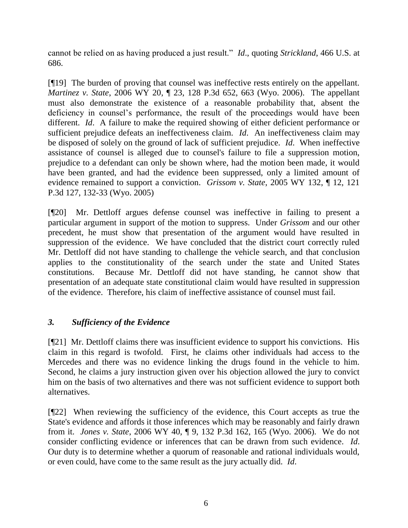cannot be relied on as having produced a just result." *Id*., quoting *Strickland*, 466 U.S. at 686.

[¶19] The burden of proving that counsel was ineffective rests entirely on the appellant. *Martinez v. State*, 2006 WY 20, ¶ 23, 128 P.3d 652, 663 (Wyo. 2006). The appellant must also demonstrate the existence of a reasonable probability that, absent the deficiency in counsel's performance, the result of the proceedings would have been different. *Id*. A failure to make the required showing of either deficient performance or sufficient prejudice defeats an ineffectiveness claim. *Id*. An ineffectiveness claim may be disposed of solely on the ground of lack of sufficient prejudice. *Id*. When ineffective assistance of counsel is alleged due to counsel's failure to file a suppression motion, prejudice to a defendant can only be shown where, had the motion been made, it would have been granted, and had the evidence been suppressed, only a limited amount of evidence remained to support a conviction. *Grissom v. State*, 2005 WY 132, ¶ 12, 121 P.3d 127, 132-33 (Wyo. 2005)

[¶20] Mr. Dettloff argues defense counsel was ineffective in failing to present a particular argument in support of the motion to suppress. Under *Grissom* and our other precedent, he must show that presentation of the argument would have resulted in suppression of the evidence. We have concluded that the district court correctly ruled Mr. Dettloff did not have standing to challenge the vehicle search, and that conclusion applies to the constitutionality of the search under the state and United States constitutions. Because Mr. Dettloff did not have standing, he cannot show that presentation of an adequate state constitutional claim would have resulted in suppression of the evidence. Therefore, his claim of ineffective assistance of counsel must fail.

# *3. Sufficiency of the Evidence*

[¶21] Mr. Dettloff claims there was insufficient evidence to support his convictions. His claim in this regard is twofold. First, he claims other individuals had access to the Mercedes and there was no evidence linking the drugs found in the vehicle to him. Second, he claims a jury instruction given over his objection allowed the jury to convict him on the basis of two alternatives and there was not sufficient evidence to support both alternatives.

[¶22] When reviewing the sufficiency of the evidence, this Court accepts as true the State's evidence and affords it those inferences which may be reasonably and fairly drawn from it. *Jones v. State*, 2006 WY 40, ¶ 9, 132 P.3d 162, 165 (Wyo. 2006). We do not consider conflicting evidence or inferences that can be drawn from such evidence. *Id*. Our duty is to determine whether a quorum of reasonable and rational individuals would, or even could, have come to the same result as the jury actually did. *Id*.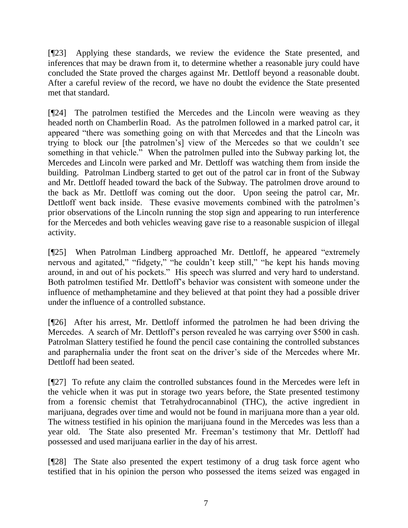[¶23] Applying these standards, we review the evidence the State presented, and inferences that may be drawn from it, to determine whether a reasonable jury could have concluded the State proved the charges against Mr. Dettloff beyond a reasonable doubt. After a careful review of the record, we have no doubt the evidence the State presented met that standard.

[¶24] The patrolmen testified the Mercedes and the Lincoln were weaving as they headed north on Chamberlin Road. As the patrolmen followed in a marked patrol car, it appeared "there was something going on with that Mercedes and that the Lincoln was trying to block our [the patrolmen's] view of the Mercedes so that we couldn't see something in that vehicle." When the patrolmen pulled into the Subway parking lot, the Mercedes and Lincoln were parked and Mr. Dettloff was watching them from inside the building. Patrolman Lindberg started to get out of the patrol car in front of the Subway and Mr. Dettloff headed toward the back of the Subway. The patrolmen drove around to the back as Mr. Dettloff was coming out the door. Upon seeing the patrol car, Mr. Dettloff went back inside. These evasive movements combined with the patrolmen's prior observations of the Lincoln running the stop sign and appearing to run interference for the Mercedes and both vehicles weaving gave rise to a reasonable suspicion of illegal activity.

[¶25] When Patrolman Lindberg approached Mr. Dettloff, he appeared "extremely nervous and agitated," "fidgety," "he couldn't keep still," "he kept his hands moving around, in and out of his pockets." His speech was slurred and very hard to understand. Both patrolmen testified Mr. Dettloff's behavior was consistent with someone under the influence of methamphetamine and they believed at that point they had a possible driver under the influence of a controlled substance.

[¶26] After his arrest, Mr. Dettloff informed the patrolmen he had been driving the Mercedes. A search of Mr. Dettloff's person revealed he was carrying over \$500 in cash. Patrolman Slattery testified he found the pencil case containing the controlled substances and paraphernalia under the front seat on the driver's side of the Mercedes where Mr. Dettloff had been seated.

[¶27] To refute any claim the controlled substances found in the Mercedes were left in the vehicle when it was put in storage two years before, the State presented testimony from a forensic chemist that Tetrahydrocannabinol (THC), the active ingredient in marijuana, degrades over time and would not be found in marijuana more than a year old. The witness testified in his opinion the marijuana found in the Mercedes was less than a year old. The State also presented Mr. Freeman's testimony that Mr. Dettloff had possessed and used marijuana earlier in the day of his arrest.

[¶28] The State also presented the expert testimony of a drug task force agent who testified that in his opinion the person who possessed the items seized was engaged in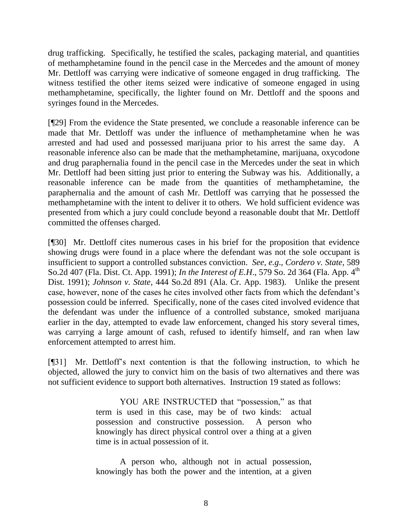drug trafficking. Specifically, he testified the scales, packaging material, and quantities of methamphetamine found in the pencil case in the Mercedes and the amount of money Mr. Dettloff was carrying were indicative of someone engaged in drug trafficking. The witness testified the other items seized were indicative of someone engaged in using methamphetamine, specifically, the lighter found on Mr. Dettloff and the spoons and syringes found in the Mercedes.

[¶29] From the evidence the State presented, we conclude a reasonable inference can be made that Mr. Dettloff was under the influence of methamphetamine when he was arrested and had used and possessed marijuana prior to his arrest the same day. A reasonable inference also can be made that the methamphetamine, marijuana, oxycodone and drug paraphernalia found in the pencil case in the Mercedes under the seat in which Mr. Dettloff had been sitting just prior to entering the Subway was his. Additionally, a reasonable inference can be made from the quantities of methamphetamine, the paraphernalia and the amount of cash Mr. Dettloff was carrying that he possessed the methamphetamine with the intent to deliver it to others. We hold sufficient evidence was presented from which a jury could conclude beyond a reasonable doubt that Mr. Dettloff committed the offenses charged.

[¶30] Mr. Dettloff cites numerous cases in his brief for the proposition that evidence showing drugs were found in a place where the defendant was not the sole occupant is insufficient to support a controlled substances conviction. *See, e.g*., *Cordero v. State*, 589 So.2d 407 (Fla. Dist. Ct. App. 1991); *In the Interest of E.H.*, 579 So. 2d 364 (Fla. App. 4<sup>th</sup>) Dist. 1991); *Johnson v. State*, 444 So.2d 891 (Ala. Cr. App. 1983). Unlike the present case, however, none of the cases he cites involved other facts from which the defendant's possession could be inferred. Specifically, none of the cases cited involved evidence that the defendant was under the influence of a controlled substance, smoked marijuana earlier in the day, attempted to evade law enforcement, changed his story several times, was carrying a large amount of cash, refused to identify himself, and ran when law enforcement attempted to arrest him.

[¶31] Mr. Dettloff's next contention is that the following instruction, to which he objected, allowed the jury to convict him on the basis of two alternatives and there was not sufficient evidence to support both alternatives. Instruction 19 stated as follows:

> YOU ARE INSTRUCTED that "possession," as that term is used in this case, may be of two kinds: actual possession and constructive possession. A person who knowingly has direct physical control over a thing at a given time is in actual possession of it.

> A person who, although not in actual possession, knowingly has both the power and the intention, at a given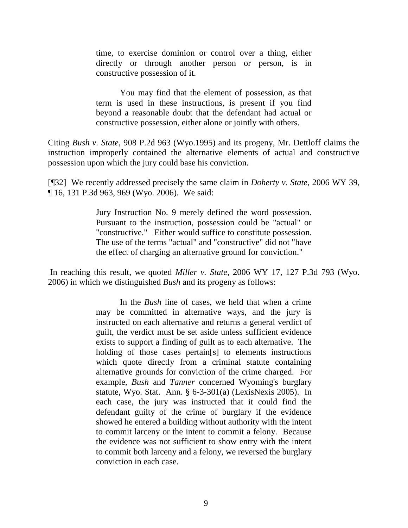time, to exercise dominion or control over a thing, either directly or through another person or person, is in constructive possession of it.

You may find that the element of possession, as that term is used in these instructions, is present if you find beyond a reasonable doubt that the defendant had actual or constructive possession, either alone or jointly with others.

Citing *Bush v. State*, 908 P.2d 963 (Wyo.1995) and its progeny, Mr. Dettloff claims the instruction improperly contained the alternative elements of actual and constructive possession upon which the jury could base his conviction.

[¶32] We recently addressed precisely the same claim in *Doherty v. State*, 2006 WY 39, ¶ 16, 131 P.3d 963, 969 (Wyo. 2006). We said:

> Jury Instruction No. 9 merely defined the word possession. Pursuant to the instruction, possession could be "actual" or "constructive." Either would suffice to constitute possession. The use of the terms "actual" and "constructive" did not "have the effect of charging an alternative ground for conviction."

In reaching this result, we quoted *Miller v. State*, 2006 WY 17, 127 P.3d 793 (Wyo. 2006) in which we distinguished *Bush* and its progeny as follows:

> In the *Bush* line of cases, we held that when a crime may be committed in alternative ways, and the jury is instructed on each alternative and returns a general verdict of guilt, the verdict must be set aside unless sufficient evidence exists to support a finding of guilt as to each alternative. The holding of those cases pertain[s] to elements instructions which quote directly from a criminal statute containing alternative grounds for conviction of the crime charged. For example, *Bush* and *Tanner* concerned Wyoming's burglary statute, Wyo. Stat. Ann. § 6-3-301(a) (LexisNexis 2005). In each case, the jury was instructed that it could find the defendant guilty of the crime of burglary if the evidence showed he entered a building without authority with the intent to commit larceny or the intent to commit a felony. Because the evidence was not sufficient to show entry with the intent to commit both larceny and a felony, we reversed the burglary conviction in each case.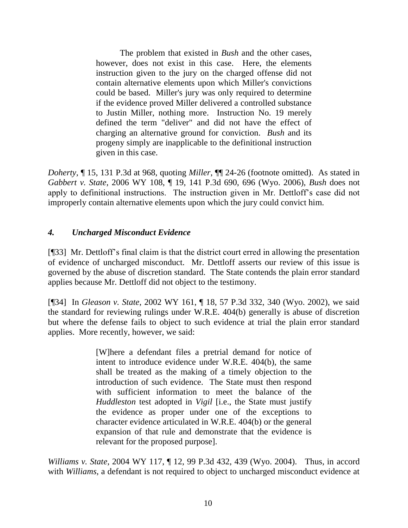The problem that existed in *Bush* and the other cases, however, does not exist in this case. Here, the elements instruction given to the jury on the charged offense did not contain alternative elements upon which Miller's convictions could be based. Miller's jury was only required to determine if the evidence proved Miller delivered a controlled substance to Justin Miller, nothing more. Instruction No. 19 merely defined the term "deliver" and did not have the effect of charging an alternative ground for conviction. *Bush* and its progeny simply are inapplicable to the definitional instruction given in this case.

*Doherty*, ¶ 15, 131 P.3d at 968, quoting *Miller*, ¶¶ 24-26 (footnote omitted). As stated in *Gabbert v. State*, 2006 WY 108, ¶ 19, 141 P.3d 690, 696 (Wyo. 2006), *Bush* does not apply to definitional instructions. The instruction given in Mr. Dettloff's case did not improperly contain alternative elements upon which the jury could convict him.

## *4. Uncharged Misconduct Evidence*

[¶33] Mr. Dettloff's final claim is that the district court erred in allowing the presentation of evidence of uncharged misconduct. Mr. Dettloff asserts our review of this issue is governed by the abuse of discretion standard. The State contends the plain error standard applies because Mr. Dettloff did not object to the testimony.

[¶34] In *Gleason v. State*, 2002 WY 161, ¶ 18, 57 P.3d 332, 340 (Wyo. 2002), we said the standard for reviewing rulings under W.R.E. 404(b) generally is abuse of discretion but where the defense fails to object to such evidence at trial the plain error standard applies. More recently, however, we said:

> [W]here a defendant files a pretrial demand for notice of intent to introduce evidence under W.R.E. 404(b), the same shall be treated as the making of a timely objection to the introduction of such evidence. The State must then respond with sufficient information to meet the balance of the *Huddleston* test adopted in *Vigil* [i.e., the State must justify the evidence as proper under one of the exceptions to character evidence articulated in W.R.E. 404(b) or the general expansion of that rule and demonstrate that the evidence is relevant for the proposed purpose].

*Williams v. State*, 2004 WY 117, ¶ 12, 99 P.3d 432, 439 (Wyo. 2004). Thus, in accord with *Williams*, a defendant is not required to object to uncharged misconduct evidence at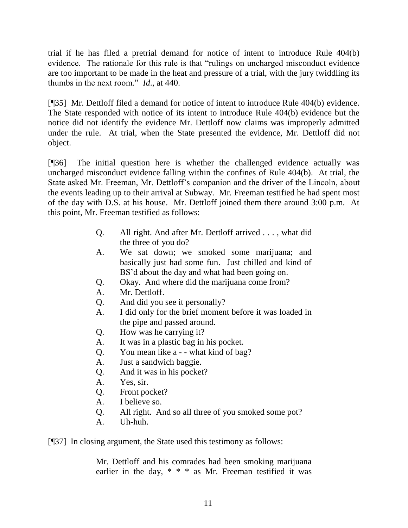trial if he has filed a pretrial demand for notice of intent to introduce Rule 404(b) evidence. The rationale for this rule is that "rulings on uncharged misconduct evidence are too important to be made in the heat and pressure of a trial, with the jury twiddling its thumbs in the next room." *Id*., at 440.

[¶35] Mr. Dettloff filed a demand for notice of intent to introduce Rule 404(b) evidence. The State responded with notice of its intent to introduce Rule 404(b) evidence but the notice did not identify the evidence Mr. Dettloff now claims was improperly admitted under the rule. At trial, when the State presented the evidence, Mr. Dettloff did not object.

[¶36] The initial question here is whether the challenged evidence actually was uncharged misconduct evidence falling within the confines of Rule 404(b). At trial, the State asked Mr. Freeman, Mr. Dettloff's companion and the driver of the Lincoln, about the events leading up to their arrival at Subway. Mr. Freeman testified he had spent most of the day with D.S. at his house. Mr. Dettloff joined them there around 3:00 p.m. At this point, Mr. Freeman testified as follows:

- Q. All right. And after Mr. Dettloff arrived . . . , what did the three of you do?
- A. We sat down; we smoked some marijuana; and basically just had some fun. Just chilled and kind of BS'd about the day and what had been going on.
- Q. Okay. And where did the marijuana come from?
- A. Mr. Dettloff.
- Q. And did you see it personally?
- A. I did only for the brief moment before it was loaded in the pipe and passed around.
- Q. How was he carrying it?
- A. It was in a plastic bag in his pocket.
- Q. You mean like a - what kind of bag?
- A. Just a sandwich baggie.
- Q. And it was in his pocket?
- A. Yes, sir.
- Q. Front pocket?
- A. I believe so.
- Q. All right. And so all three of you smoked some pot?
- A. Uh-huh.

[¶37] In closing argument, the State used this testimony as follows:

Mr. Dettloff and his comrades had been smoking marijuana earlier in the day, \* \* \* as Mr. Freeman testified it was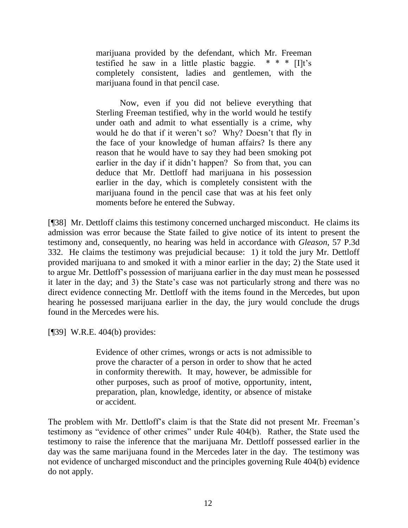marijuana provided by the defendant, which Mr. Freeman testified he saw in a little plastic baggie.  $* * * [I]t's$ completely consistent, ladies and gentlemen, with the marijuana found in that pencil case.

Now, even if you did not believe everything that Sterling Freeman testified, why in the world would he testify under oath and admit to what essentially is a crime, why would he do that if it weren't so? Why? Doesn't that fly in the face of your knowledge of human affairs? Is there any reason that he would have to say they had been smoking pot earlier in the day if it didn't happen? So from that, you can deduce that Mr. Dettloff had marijuana in his possession earlier in the day, which is completely consistent with the marijuana found in the pencil case that was at his feet only moments before he entered the Subway.

[¶38] Mr. Dettloff claims this testimony concerned uncharged misconduct. He claims its admission was error because the State failed to give notice of its intent to present the testimony and, consequently, no hearing was held in accordance with *Gleason*, 57 P.3d 332. He claims the testimony was prejudicial because: 1) it told the jury Mr. Dettloff provided marijuana to and smoked it with a minor earlier in the day; 2) the State used it to argue Mr. Dettloff's possession of marijuana earlier in the day must mean he possessed it later in the day; and 3) the State's case was not particularly strong and there was no direct evidence connecting Mr. Dettloff with the items found in the Mercedes, but upon hearing he possessed marijuana earlier in the day, the jury would conclude the drugs found in the Mercedes were his.

[¶39] W.R.E. 404(b) provides:

Evidence of other crimes, wrongs or acts is not admissible to prove the character of a person in order to show that he acted in conformity therewith. It may, however, be admissible for other purposes, such as proof of motive, opportunity, intent, preparation, plan, knowledge, identity, or absence of mistake or accident.

The problem with Mr. Dettloff's claim is that the State did not present Mr. Freeman's testimony as "evidence of other crimes" under Rule 404(b). Rather, the State used the testimony to raise the inference that the marijuana Mr. Dettloff possessed earlier in the day was the same marijuana found in the Mercedes later in the day. The testimony was not evidence of uncharged misconduct and the principles governing Rule 404(b) evidence do not apply.